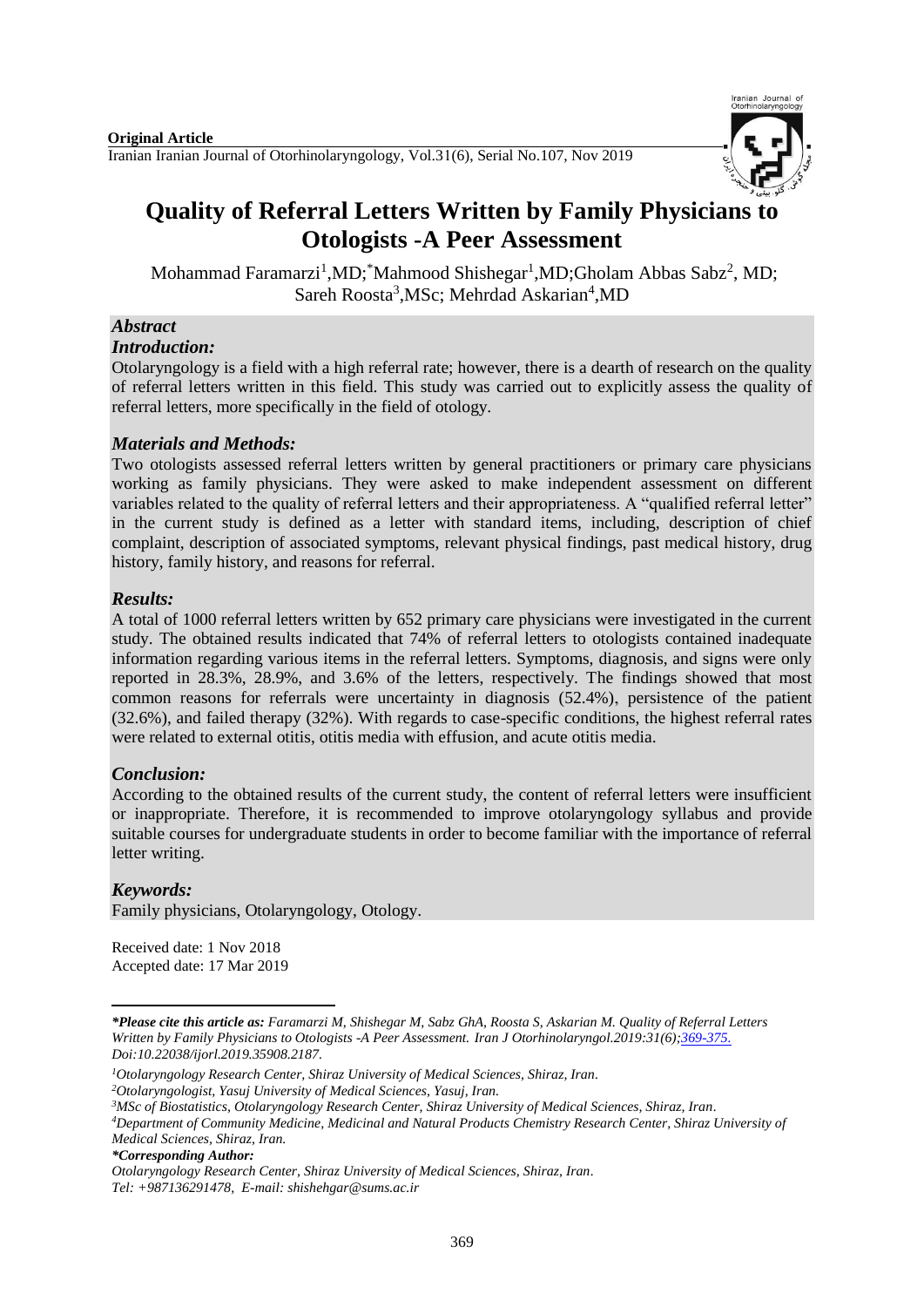

# **Quality of Referral Letters Written by Family Physicians to Otologists -A Peer Assessment**

Mohammad Faramarzi<sup>1</sup>,MD; Mahmood Shishegar<sup>1</sup>,MD;Gholam Abbas Sabz<sup>2</sup>, MD; Sareh Roosta<sup>3</sup>, MSc; Mehrdad Askarian<sup>4</sup>, MD

## *Abstract*

#### *Introduction:*

Otolaryngology is a field with a high referral rate; however, there is a dearth of research on the quality of referral letters written in this field. This study was carried out to explicitly assess the quality of referral letters, more specifically in the field of otology.

## *Materials and Methods:*

Two otologists assessed referral letters written by general practitioners or primary care physicians working as family physicians. They were asked to make independent assessment on different variables related to the quality of referral letters and their appropriateness. A "qualified referral letter" in the current study is defined as a letter with standard items, including, description of chief complaint, description of associated symptoms, relevant physical findings, past medical history, drug history, family history, and reasons for referral.

## *Results:*

A total of 1000 referral letters written by 652 primary care physicians were investigated in the current study. The obtained results indicated that 74% of referral letters to otologists contained inadequate information regarding various items in the referral letters. Symptoms, diagnosis, and signs were only reported in 28.3%, 28.9%, and 3.6% of the letters, respectively. The findings showed that most common reasons for referrals were uncertainty in diagnosis (52.4%), persistence of the patient (32.6%), and failed therapy (32%). With regards to case-specific conditions, the highest referral rates were related to external otitis, otitis media with effusion, and acute otitis media.

# *Conclusion:*

According to the obtained results of the current study, the content of referral letters were insufficient or inappropriate. Therefore, it is recommended to improve otolaryngology syllabus and provide suitable courses for undergraduate students in order to become familiar with the importance of referral letter writing.

# *Keywords:*

**.** 

Family physicians, Otolaryngology, Otology.

Received date: 1 Nov 2018 Accepted date: 17 Mar 2019

*<sup>\*</sup>Please cite this article as: Faramarzi M, Shishegar M, Sabz GhA, Roosta S, Askarian M. Quality of Referral Letters Written by Family Physicians to Otologists -A Peer Assessment. [Iran J Otorhinolaryngol.2](https://www.ncbi.nlm.nih.gov/pubmed/?term=Tri-layer+Tympanoplasty+as+a+New+Technique+in+High-risk+Tympanic+Membrane+Perforations)019:31(6);369-375. Doi:10.22038/ijorl.2019.35908.2187.*

*<sup>1</sup>Otolaryngology Research Center, Shiraz University of Medical Sciences, Shiraz, Iran.*

*<sup>2</sup>Otolaryngologist, Yasuj University of Medical Sciences, Yasuj, Iran.*

*<sup>3</sup>MSc of Biostatistics, Otolaryngology Research Center, Shiraz University of Medical Sciences, Shiraz, Iran.*

*<sup>4</sup>Department of Community Medicine, Medicinal and Natural Products Chemistry Research Center, Shiraz University of Medical Sciences, Shiraz, Iran.*

*<sup>\*</sup>Corresponding Author:*

*Otolaryngology Research Center, Shiraz University of Medical Sciences, Shiraz, Iran. Tel: +987136291478, E-mail[: shishehgar@sums.ac.ir](mailto:shishehgar@sums.ac.ir)*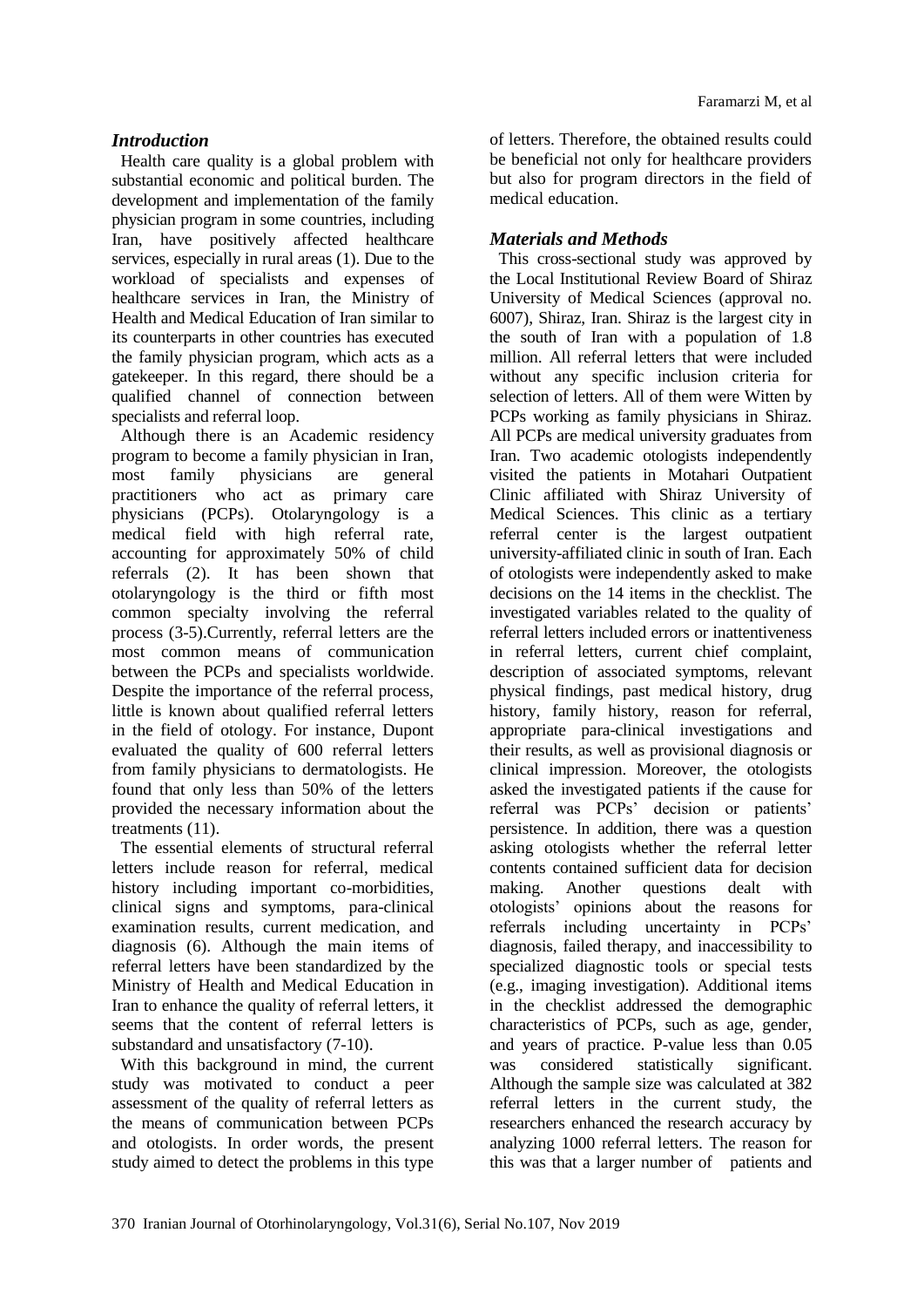# *Introduction*

Health care quality is a global problem with substantial economic and political burden. The development and implementation of the family physician program in some countries, including Iran, have positively affected healthcare services, especially in rural areas (1). Due to the workload of specialists and expenses of healthcare services in Iran, the Ministry of Health and Medical Education of Iran similar to its counterparts in other countries has executed the family physician program, which acts as a gatekeeper. In this regard, there should be a qualified channel of connection between specialists and referral loop.

Although there is an Academic residency program to become a family physician in Iran, most family physicians are general practitioners who act as primary care physicians (PCPs). Otolaryngology is a medical field with high referral rate, accounting for approximately 50% of child referrals (2). It has been shown that otolaryngology is the third or fifth most common specialty involving the referral process (3-5).Currently, referral letters are the most common means of communication between the PCPs and specialists worldwide. Despite the importance of the referral process, little is known about qualified referral letters in the field of otology. For instance, Dupont evaluated the quality of 600 referral letters from family physicians to dermatologists. He found that only less than 50% of the letters provided the necessary information about the treatments (11).

The essential elements of structural referral letters include reason for referral, medical history including important co-morbidities, clinical signs and symptoms, para-clinical examination results, current medication, and diagnosis (6). Although the main items of referral letters have been standardized by the Ministry of Health and Medical Education in Iran to enhance the quality of referral letters, it seems that the content of referral letters is substandard and unsatisfactory (7-10).

With this background in mind, the current study was motivated to conduct a peer assessment of the quality of referral letters as the means of communication between PCPs and otologists. In order words, the present study aimed to detect the problems in this type

of letters. Therefore, the obtained results could be beneficial not only for healthcare providers but also for program directors in the field of medical education.

# *Materials and Methods*

This cross-sectional study was approved by the Local Institutional Review Board of Shiraz University of Medical Sciences (approval no. 6007), Shiraz, Iran. Shiraz is the largest city in the south of Iran with a population of 1.8 million. All referral letters that were included without any specific inclusion criteria for selection of letters. All of them were Witten by PCPs working as family physicians in Shiraz. All PCPs are medical university graduates from Iran. Two academic otologists independently visited the patients in Motahari Outpatient Clinic affiliated with Shiraz University of Medical Sciences. This clinic as a tertiary referral center is the largest outpatient university-affiliated clinic in south of Iran. Each of otologists were independently asked to make decisions on the 14 items in the checklist. The investigated variables related to the quality of referral letters included errors or inattentiveness in referral letters, current chief complaint, description of associated symptoms, relevant physical findings, past medical history, drug history, family history, reason for referral, appropriate para-clinical investigations and their results, as well as provisional diagnosis or clinical impression. Moreover, the otologists asked the investigated patients if the cause for referral was PCPs' decision or patients' persistence. In addition, there was a question asking otologists whether the referral letter contents contained sufficient data for decision making. Another questions dealt with otologists' opinions about the reasons for referrals including uncertainty in PCPs' diagnosis, failed therapy, and inaccessibility to specialized diagnostic tools or special tests (e.g., imaging investigation). Additional items in the checklist addressed the demographic characteristics of PCPs, such as age, gender, and years of practice. P-value less than 0.05 was considered statistically significant. Although the sample size was calculated at 382 referral letters in the current study, the researchers enhanced the research accuracy by analyzing 1000 referral letters. The reason for this was that a larger number of patients and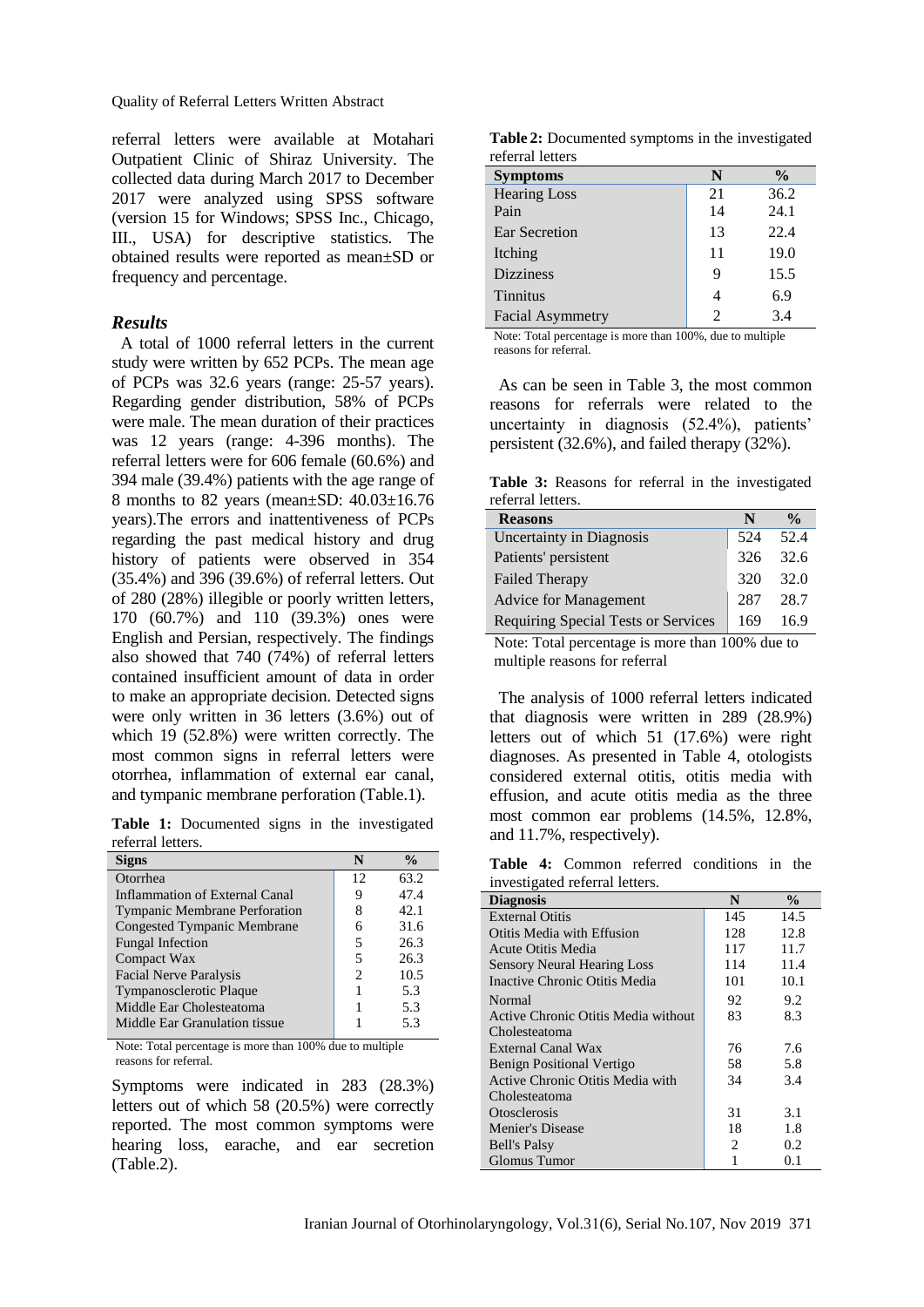Quality of Referral Letters Written Abstract

referral letters were available at Motahari Outpatient Clinic of Shiraz University. The collected data during March 2017 to December 2017 were analyzed using SPSS software (version 15 for Windows; SPSS Inc., Chicago, III., USA) for descriptive statistics. The obtained results were reported as mean±SD or frequency and percentage.

#### *Results*

A total of 1000 referral letters in the current study were written by 652 PCPs. The mean age of PCPs was 32.6 years (range: 25-57 years). Regarding gender distribution, 58% of PCPs were male. The mean duration of their practices was 12 years (range: 4-396 months). The referral letters were for 606 female (60.6%) and 394 male (39.4%) patients with the age range of 8 months to 82 years (mean±SD: 40.03±16.76 years).The errors and inattentiveness of PCPs regarding the past medical history and drug history of patients were observed in 354 (35.4%) and 396 (39.6%) of referral letters. Out of 280 (28%) illegible or poorly written letters, 170 (60.7%) and 110 (39.3%) ones were English and Persian, respectively. The findings also showed that 740 (74%) of referral letters contained insufficient amount of data in order to make an appropriate decision. Detected signs were only written in 36 letters (3.6%) out of which 19 (52.8%) were written correctly. The most common signs in referral letters were otorrhea, inflammation of external ear canal, and tympanic membrane perforation (Table.1).

**Table 1:** Documented signs in the investigated referral letters.

|                             | $\frac{0}{0}$ |
|-----------------------------|---------------|
| 12                          | 63.2          |
| 9                           | 47.4          |
| 8                           | 42.1          |
| 6                           | 31.6          |
| 5                           | 26.3          |
| 5                           | 26.3          |
| $\mathcal{D}_{\mathcal{L}}$ | 10.5          |
|                             | 5.3           |
|                             | 5.3           |
|                             | 5.3           |
|                             |               |

Note: Total percentage is more than 100% due to multiple reasons for referral.

Symptoms were indicated in 283 (28.3%) letters out of which 58 (20.5%) were correctly reported. The most common symptoms were hearing loss, earache, and ear secretion (Table.2).

**Table 2:** Documented symptoms in the investigated referral letters

| <b>Symptoms</b>         | N                           | $\frac{0}{0}$ |
|-------------------------|-----------------------------|---------------|
| <b>Hearing Loss</b>     | 21                          | 36.2          |
| Pain                    | 14                          | 24.1          |
| Ear Secretion           | 13                          | 22.4          |
| Itching                 | 11                          | 19.0          |
| <b>Dizziness</b>        | 9                           | 15.5          |
| <b>Tinnitus</b>         | 4                           | 6.9           |
| <b>Facial Asymmetry</b> | $\mathcal{D}_{\mathcal{A}}$ | 3.4           |

Note: Total percentage is more than 100%, due to multiple reasons for referral*.*

As can be seen in Table 3, the most common reasons for referrals were related to the uncertainty in diagnosis (52.4%), patients' persistent (32.6%), and failed therapy (32%).

**Table 3:** Reasons for referral in the investigated referral letters.

| <b>Reasons</b>                      | N   | $\frac{0}{0}$ |
|-------------------------------------|-----|---------------|
| <b>Uncertainty in Diagnosis</b>     | 524 | 52.4          |
| Patients' persistent                | 326 | 32.6          |
| <b>Failed Therapy</b>               | 320 | 32.0          |
| <b>Advice for Management</b>        | 287 | 28.7          |
| Requiring Special Tests or Services | 169 | 169           |

Note: Total percentage is more than 100% due to multiple reasons for referral

The analysis of 1000 referral letters indicated that diagnosis were written in 289 (28.9%) letters out of which 51 (17.6%) were right diagnoses. As presented in Table 4, otologists considered external otitis, otitis media with effusion, and acute otitis media as the three most common ear problems (14.5%, 12.8%, and 11.7%, respectively).

**Table 4:** Common referred conditions in the investigated referral letters.

| <b>Diagnosis</b>                    | N                             | $\frac{0}{0}$ |
|-------------------------------------|-------------------------------|---------------|
| <b>External Otitis</b>              | 145                           | 14.5          |
| Otitis Media with Effusion          | 128                           | 12.8          |
| Acute Otitis Media                  | 117                           | 11.7          |
| <b>Sensory Neural Hearing Loss</b>  | 114                           | 11.4          |
| Inactive Chronic Otitis Media       | 101                           | 10.1          |
| Normal                              | 92                            | 9.2           |
| Active Chronic Otitis Media without | 83                            | 8.3           |
| Cholesteatoma                       |                               |               |
| External Canal Wax                  | 76                            | 7.6           |
| <b>Benign Positional Vertigo</b>    | 58                            | 5.8           |
| Active Chronic Otitis Media with    | 34                            | 3.4           |
| Cholesteatoma                       |                               |               |
| <i><b>Otosclerosis</b></i>          | 31                            | 3.1           |
| Menier's Disease                    | 18                            | 1.8           |
| <b>Bell's Palsy</b>                 | $\mathfrak{D}_{\mathfrak{p}}$ | 0.2           |
| Glomus Tumor                        |                               | 0.1           |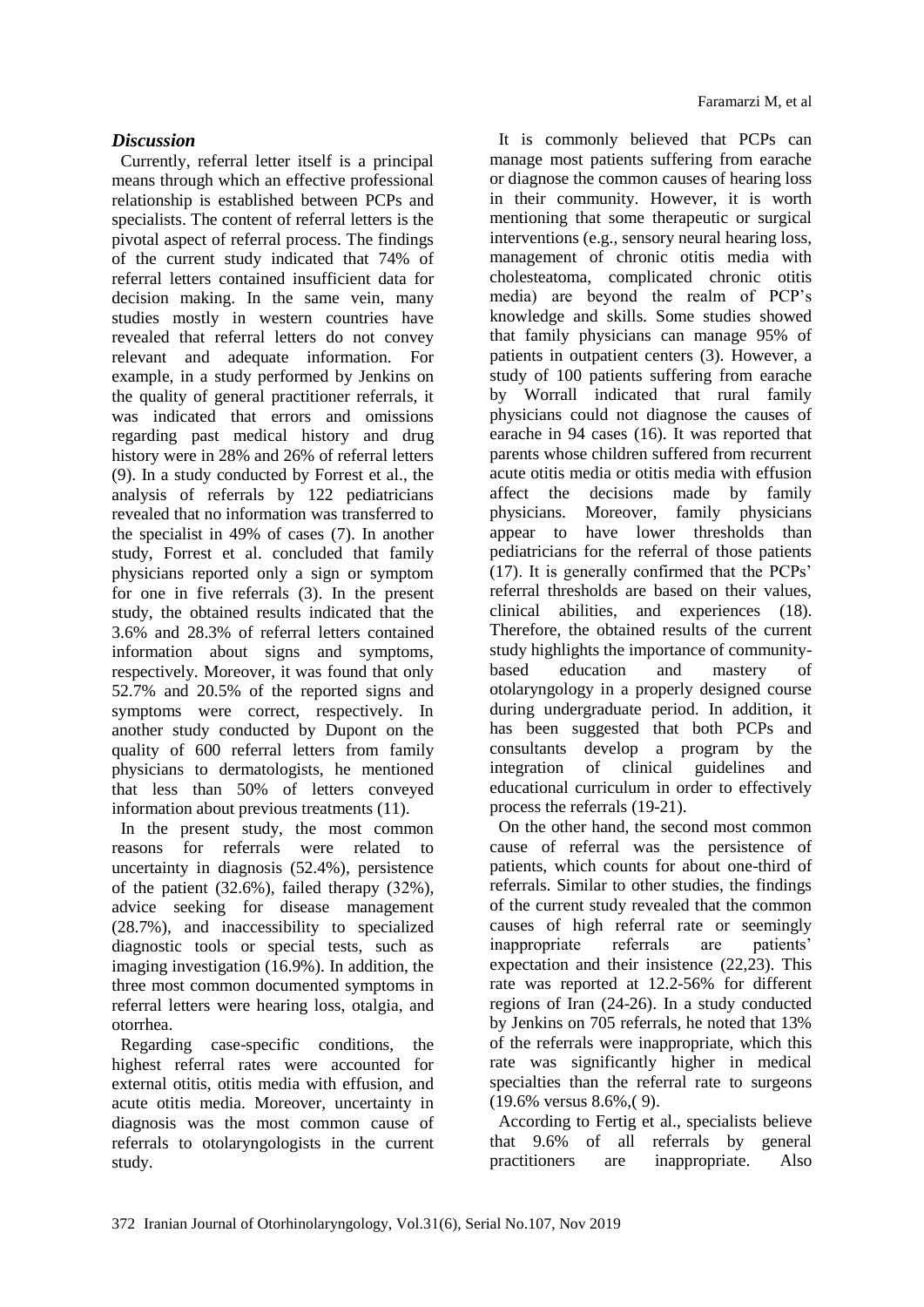# *Discussion*

Currently, referral letter itself is a principal means through which an effective professional relationship is established between PCPs and specialists. The content of referral letters is the pivotal aspect of referral process. The findings of the current study indicated that 74% of referral letters contained insufficient data for decision making. In the same vein, many studies mostly in western countries have revealed that referral letters do not convey relevant and adequate information. For example, in a study performed by Jenkins on the quality of general practitioner referrals, it was indicated that errors and omissions regarding past medical history and drug history were in 28% and 26% of referral letters (9). In a study conducted by Forrest et al., the analysis of referrals by 122 pediatricians revealed that no information was transferred to the specialist in 49% of cases (7). In another study, Forrest et al. concluded that family physicians reported only a sign or symptom for one in five referrals (3). In the present study, the obtained results indicated that the 3.6% and 28.3% of referral letters contained information about signs and symptoms, respectively. Moreover, it was found that only 52.7% and 20.5% of the reported signs and symptoms were correct, respectively. In another study conducted by Dupont on the quality of 600 referral letters from family physicians to dermatologists, he mentioned that less than 50% of letters conveyed information about previous treatments (11).

In the present study, the most common reasons for referrals were related to uncertainty in diagnosis (52.4%), persistence of the patient (32.6%), failed therapy (32%), advice seeking for disease management (28.7%), and inaccessibility to specialized diagnostic tools or special tests, such as imaging investigation (16.9%). In addition, the three most common documented symptoms in referral letters were hearing loss, otalgia, and otorrhea.

Regarding case-specific conditions, the highest referral rates were accounted for external otitis, otitis media with effusion, and acute otitis media. Moreover, uncertainty in diagnosis was the most common cause of referrals to otolaryngologists in the current study.

It is commonly believed that PCPs can manage most patients suffering from earache or diagnose the common causes of hearing loss in their community. However, it is worth mentioning that some therapeutic or surgical interventions (e.g., sensory neural hearing loss, management of chronic otitis media with cholesteatoma, complicated chronic otitis media) are beyond the realm of PCP's knowledge and skills. Some studies showed that family physicians can manage 95% of patients in outpatient centers (3). However, a study of 100 patients suffering from earache by Worrall indicated that rural family physicians could not diagnose the causes of earache in 94 cases (16). It was reported that parents whose children suffered from recurrent acute otitis media or otitis media with effusion affect the decisions made by family physicians. Moreover, family physicians appear to have lower thresholds than pediatricians for the referral of those patients (17). It is generally confirmed that the PCPs' referral thresholds are based on their values, clinical abilities, and experiences (18). Therefore, the obtained results of the current study highlights the importance of communitybased education and mastery of otolaryngology in a properly designed course during undergraduate period. In addition, it has been suggested that both PCPs and consultants develop a program by the integration of clinical guidelines and educational curriculum in order to effectively process the referrals (19-21).

On the other hand, the second most common cause of referral was the persistence of patients, which counts for about one-third of referrals. Similar to other studies, the findings of the current study revealed that the common causes of high referral rate or seemingly inappropriate referrals are patients' expectation and their insistence (22,23). This rate was reported at 12.2-56% for different regions of Iran (24-26). In a study conducted by Jenkins on 705 referrals, he noted that 13% of the referrals were inappropriate, which this rate was significantly higher in medical specialties than the referral rate to surgeons (19.6% versus 8.6%,( 9).

According to Fertig et al., specialists believe that 9.6% of all referrals by general practitioners are inappropriate. Also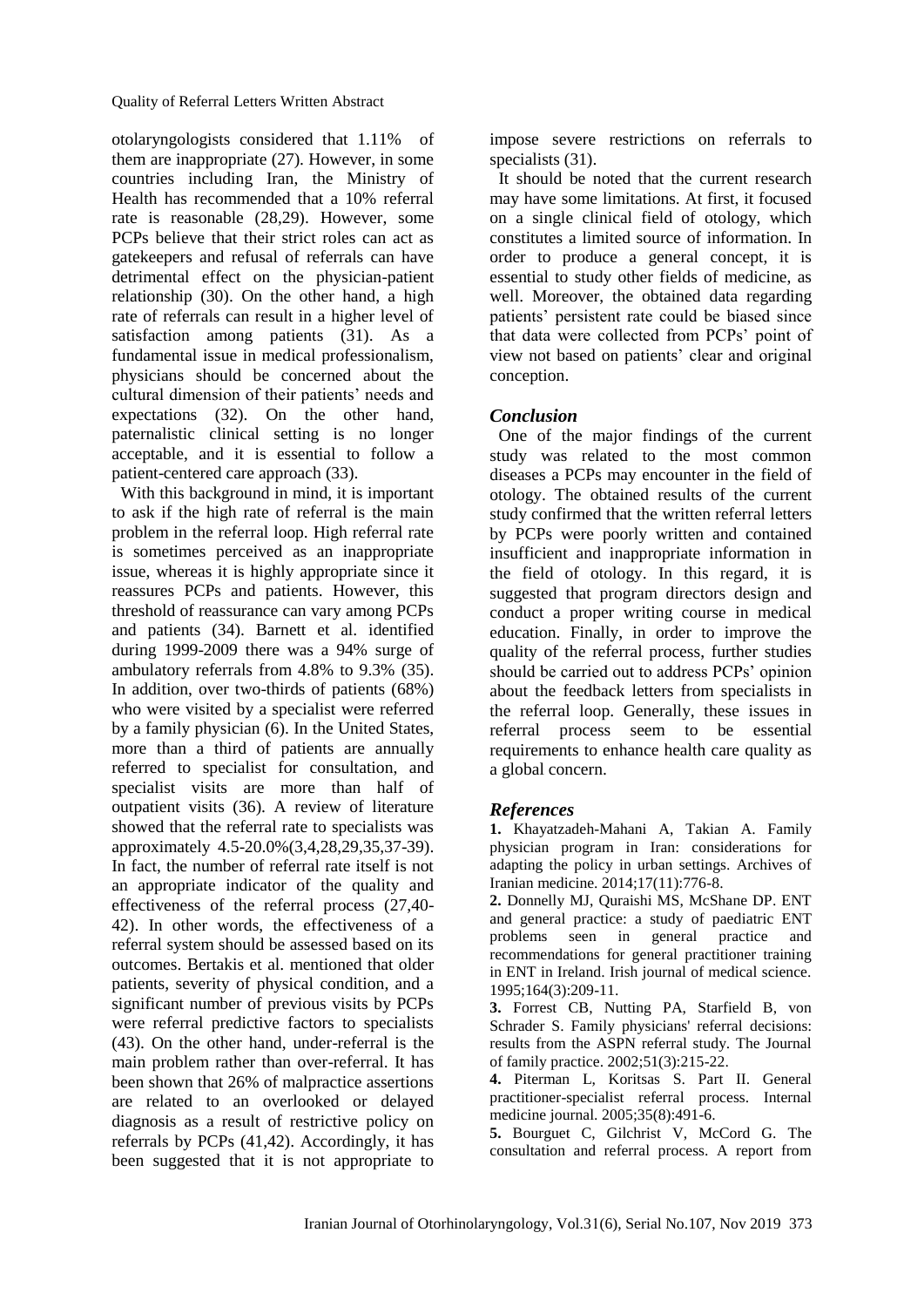otolaryngologists considered that 1.11% of them are inappropriate (27). However, in some countries including Iran, the Ministry of Health has recommended that a 10% referral rate is reasonable (28,29). However, some PCPs believe that their strict roles can act as gatekeepers and refusal of referrals can have detrimental effect on the physician-patient relationship (30). On the other hand, a high rate of referrals can result in a higher level of satisfaction among patients (31). As a fundamental issue in medical professionalism, physicians should be concerned about the cultural dimension of their patients' needs and expectations (32). On the other hand, paternalistic clinical setting is no longer acceptable, and it is essential to follow a patient-centered care approach (33).

With this background in mind, it is important to ask if the high rate of referral is the main problem in the referral loop. High referral rate is sometimes perceived as an inappropriate issue, whereas it is highly appropriate since it reassures PCPs and patients. However, this threshold of reassurance can vary among PCPs and patients (34). Barnett et al. identified during 1999-2009 there was a 94% surge of ambulatory referrals from 4.8% to 9.3% (35). In addition, over two-thirds of patients (68%) who were visited by a specialist were referred by a family physician (6). In the United States, more than a third of patients are annually referred to specialist for consultation, and specialist visits are more than half of outpatient visits (36). A review of literature showed that the referral rate to specialists was approximately 4.5-20.0%(3,4,28,29,35,37-39). In fact, the number of referral rate itself is not an appropriate indicator of the quality and effectiveness of the referral process (27,40- 42). In other words, the effectiveness of a referral system should be assessed based on its outcomes. Bertakis et al. mentioned that older patients, severity of physical condition, and a significant number of previous visits by PCPs were referral predictive factors to specialists (43). On the other hand, under-referral is the main problem rather than over-referral. It has been shown that 26% of malpractice assertions are related to an overlooked or delayed diagnosis as a result of restrictive policy on referrals by PCPs (41,42). Accordingly, it has been suggested that it is not appropriate to impose severe restrictions on referrals to specialists  $(31)$ .

It should be noted that the current research may have some limitations. At first, it focused on a single clinical field of otology, which constitutes a limited source of information. In order to produce a general concept, it is essential to study other fields of medicine, as well. Moreover, the obtained data regarding patients' persistent rate could be biased since that data were collected from PCPs' point of view not based on patients' clear and original conception.

#### *Conclusion*

One of the major findings of the current study was related to the most common diseases a PCPs may encounter in the field of otology. The obtained results of the current study confirmed that the written referral letters by PCPs were poorly written and contained insufficient and inappropriate information in the field of otology. In this regard, it is suggested that program directors design and conduct a proper writing course in medical education. Finally, in order to improve the quality of the referral process, further studies should be carried out to address PCPs' opinion about the feedback letters from specialists in the referral loop. Generally, these issues in referral process seem to be essential requirements to enhance health care quality as a global concern.

#### *References*

**1.** Khayatzadeh-Mahani A, Takian A. Family physician program in Iran: considerations for adapting the policy in urban settings. Archives of Iranian medicine. 2014;17(11):776-8.

**2.** Donnelly MJ, Quraishi MS, McShane DP. ENT and general practice: a study of paediatric ENT problems seen in general practice and recommendations for general practitioner training in ENT in Ireland. Irish journal of medical science. 1995;164(3):209-11.

**3.** Forrest CB, Nutting PA, Starfield B, von Schrader S. Family physicians' referral decisions: results from the ASPN referral study. The Journal of family practice. 2002;51(3):215-22.

**4.** Piterman L, Koritsas S. Part II. General practitioner-specialist referral process. Internal medicine journal. 2005;35(8):491-6.

**5.** Bourguet C, Gilchrist V, McCord G. The consultation and referral process. A report from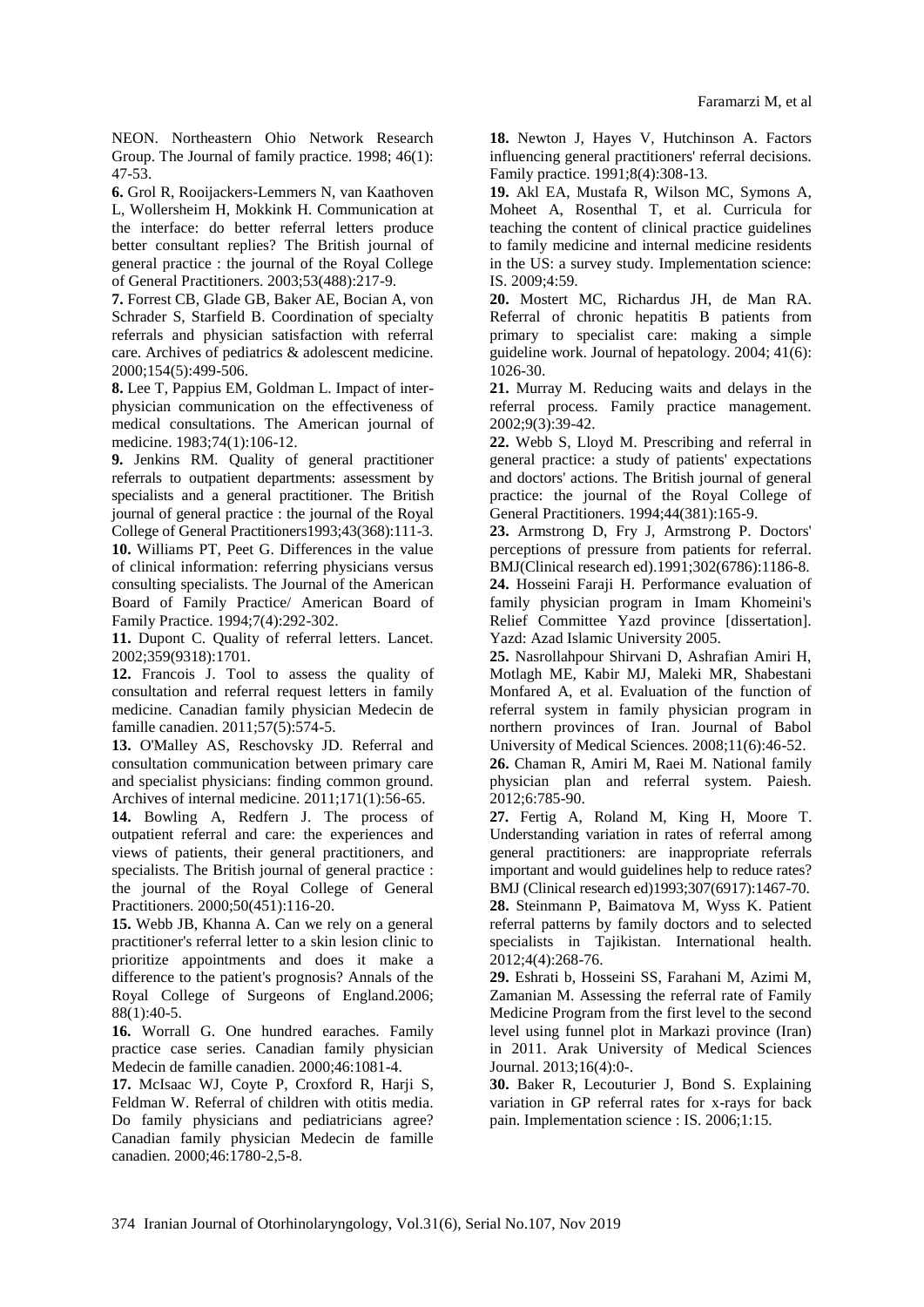NEON. Northeastern Ohio Network Research Group. The Journal of family practice. 1998; 46(1): 47-53.

**6.** Grol R, Rooijackers-Lemmers N, van Kaathoven L, Wollersheim H, Mokkink H. Communication at the interface: do better referral letters produce better consultant replies? The British journal of general practice : the journal of the Royal College of General Practitioners. 2003;53(488):217-9.

**7.** Forrest CB, Glade GB, Baker AE, Bocian A, von Schrader S, Starfield B. Coordination of specialty referrals and physician satisfaction with referral care. Archives of pediatrics & adolescent medicine. 2000;154(5):499-506.

**8.** Lee T, Pappius EM, Goldman L. Impact of interphysician communication on the effectiveness of medical consultations. The American journal of medicine. 1983;74(1):106-12.

**9.** Jenkins RM. Quality of general practitioner referrals to outpatient departments: assessment by specialists and a general practitioner. The British journal of general practice : the journal of the Royal College of General Practitioners1993;43(368):111-3. **10.** Williams PT, Peet G. Differences in the value

of clinical information: referring physicians versus consulting specialists. The Journal of the American Board of Family Practice/ American Board of Family Practice. 1994;7(4):292-302.

**11.** Dupont C. Quality of referral letters. Lancet. 2002;359(9318):1701.

**12.** Francois J. Tool to assess the quality of consultation and referral request letters in family medicine. Canadian family physician Medecin de famille canadien. 2011;57(5):574-5.

**13.** O'Malley AS, Reschovsky JD. Referral and consultation communication between primary care and specialist physicians: finding common ground. Archives of internal medicine. 2011;171(1):56-65.

**14.** Bowling A, Redfern J. The process of outpatient referral and care: the experiences and views of patients, their general practitioners, and specialists. The British journal of general practice : the journal of the Royal College of General Practitioners. 2000;50(451):116-20.

**15.** Webb JB, Khanna A. Can we rely on a general practitioner's referral letter to a skin lesion clinic to prioritize appointments and does it make a difference to the patient's prognosis? Annals of the Royal College of Surgeons of England.2006; 88(1):40-5.

**16.** Worrall G. One hundred earaches. Family practice case series. Canadian family physician Medecin de famille canadien. 2000;46:1081-4.

**17.** McIsaac WJ, Coyte P, Croxford R, Harji S, Feldman W. Referral of children with otitis media. Do family physicians and pediatricians agree? Canadian family physician Medecin de famille canadien. 2000;46:1780-2,5-8.

**18.** Newton J, Hayes V, Hutchinson A. Factors influencing general practitioners' referral decisions. Family practice. 1991;8(4):308-13.

**19.** Akl EA, Mustafa R, Wilson MC, Symons A, Moheet A, Rosenthal T, et al. Curricula for teaching the content of clinical practice guidelines to family medicine and internal medicine residents in the US: a survey study. Implementation science: IS. 2009;4:59.

**20.** Mostert MC, Richardus JH, de Man RA. Referral of chronic hepatitis B patients from primary to specialist care: making a simple guideline work. Journal of hepatology. 2004; 41(6): 1026-30.

**21.** Murray M. Reducing waits and delays in the referral process. Family practice management. 2002;9(3):39-42.

**22.** Webb S, Lloyd M. Prescribing and referral in general practice: a study of patients' expectations and doctors' actions. The British journal of general practice: the journal of the Royal College of General Practitioners. 1994;44(381):165-9.

**23.** Armstrong D, Fry J, Armstrong P. Doctors' perceptions of pressure from patients for referral. BMJ(Clinical research ed).1991;302(6786):1186-8. **24.** Hosseini Faraji H. Performance evaluation of family physician program in Imam Khomeini's Relief Committee Yazd province [dissertation]. Yazd: Azad Islamic University 2005.

**25.** Nasrollahpour Shirvani D, Ashrafian Amiri H, Motlagh ME, Kabir MJ, Maleki MR, Shabestani Monfared A, et al. Evaluation of the function of referral system in family physician program in northern provinces of Iran. Journal of Babol University of Medical Sciences. 2008;11(6):46-52.

**26.** Chaman R, Amiri M, Raei M. National family physician plan and referral system. Paiesh. 2012;6:785-90.

**27.** Fertig A, Roland M, King H, Moore T. Understanding variation in rates of referral among general practitioners: are inappropriate referrals important and would guidelines help to reduce rates? BMJ (Clinical research ed)1993;307(6917):1467-70.

**28.** Steinmann P, Baimatova M, Wyss K. Patient referral patterns by family doctors and to selected specialists in Tajikistan. International health. 2012;4(4):268-76.

**29.** Eshrati b, Hosseini SS, Farahani M, Azimi M, Zamanian M. Assessing the referral rate of Family Medicine Program from the first level to the second level using funnel plot in Markazi province (Iran) in 2011. Arak University of Medical Sciences Journal. 2013;16(4):0-.

**30.** Baker R, Lecouturier J, Bond S. Explaining variation in GP referral rates for x-rays for back pain. Implementation science : IS. 2006;1:15.